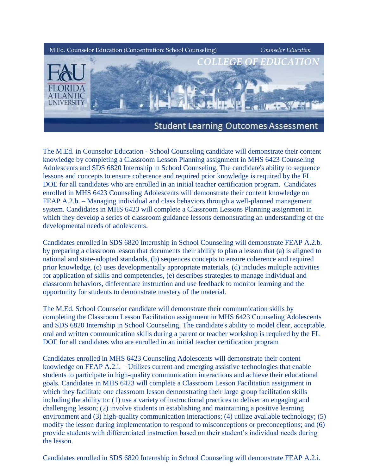

The M.Ed. in Counselor Education - School Counseling candidate will demonstrate their content knowledge by completing a Classroom Lesson Planning assignment in MHS 6423 Counseling Adolescents and SDS 6820 Internship in School Counseling. The candidate's ability to sequence lessons and concepts to ensure coherence and required prior knowledge is required by the FL DOE for all candidates who are enrolled in an initial teacher certification program. Candidates enrolled in MHS 6423 Counseling Adolescents will demonstrate their content knowledge on FEAP A.2.b. – Managing individual and class behaviors through a well-planned management system. Candidates in MHS 6423 will complete a Classroom Lessons Planning assignment in which they develop a series of classroom guidance lessons demonstrating an understanding of the developmental needs of adolescents.

Candidates enrolled in SDS 6820 Internship in School Counseling will demonstrate FEAP A.2.b. by preparing a classroom lesson that documents their ability to plan a lesson that (a) is aligned to national and state-adopted standards, (b) sequences concepts to ensure coherence and required prior knowledge, (c) uses developmentally appropriate materials, (d) includes multiple activities for application of skills and competencies, (e) describes strategies to manage individual and classroom behaviors, differentiate instruction and use feedback to monitor learning and the opportunity for students to demonstrate mastery of the material.

The M.Ed. School Counselor candidate will demonstrate their communication skills by completing the Classroom Lesson Facilitation assignment in MHS 6423 Counseling Adolescents and SDS 6820 Internship in School Counseling. The candidate's ability to model clear, acceptable, oral and written communication skills during a parent or teacher workshop is required by the FL DOE for all candidates who are enrolled in an initial teacher certification program

Candidates enrolled in MHS 6423 Counseling Adolescents will demonstrate their content knowledge on FEAP A.2.i. – Utilizes current and emerging assistive technologies that enable students to participate in high-quality communication interactions and achieve their educational goals. Candidates in MHS 6423 will complete a Classroom Lesson Facilitation assignment in which they facilitate one classroom lesson demonstrating their large group facilitation skills including the ability to: (1) use a variety of instructional practices to deliver an engaging and challenging lesson; (2) involve students in establishing and maintaining a positive learning environment and (3) high-quality communication interactions; (4) utilize available technology; (5) modify the lesson during implementation to respond to misconceptions or preconceptions; and (6) provide students with differentiated instruction based on their student's individual needs during the lesson.

Candidates enrolled in SDS 6820 Internship in School Counseling will demonstrate FEAP A.2.i.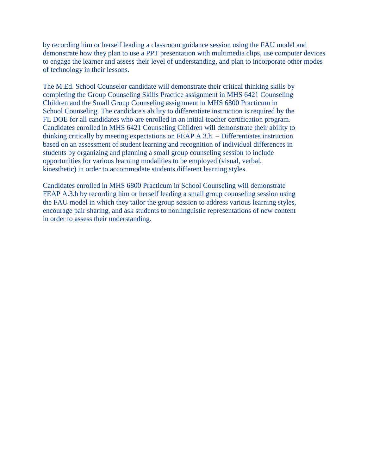by recording him or herself leading a classroom guidance session using the FAU model and demonstrate how they plan to use a PPT presentation with multimedia clips, use computer devices to engage the learner and assess their level of understanding, and plan to incorporate other modes of technology in their lessons.

The M.Ed. School Counselor candidate will demonstrate their critical thinking skills by completing the Group Counseling Skills Practice assignment in MHS 6421 Counseling Children and the Small Group Counseling assignment in MHS 6800 Practicum in School Counseling. The candidate's ability to differentiate instruction is required by the FL DOE for all candidates who are enrolled in an initial teacher certification program. Candidates enrolled in MHS 6421 Counseling Children will demonstrate their ability to thinking critically by meeting expectations on FEAP A.3.h. – Differentiates instruction based on an assessment of student learning and recognition of individual differences in students by organizing and planning a small group counseling session to include opportunities for various learning modalities to be employed (visual, verbal, kinesthetic) in order to accommodate students different learning styles.

Candidates enrolled in MHS 6800 Practicum in School Counseling will demonstrate FEAP A.3.h by recording him or herself leading a small group counseling session using the FAU model in which they tailor the group session to address various learning styles, encourage pair sharing, and ask students to nonlinguistic representations of new content in order to assess their understanding.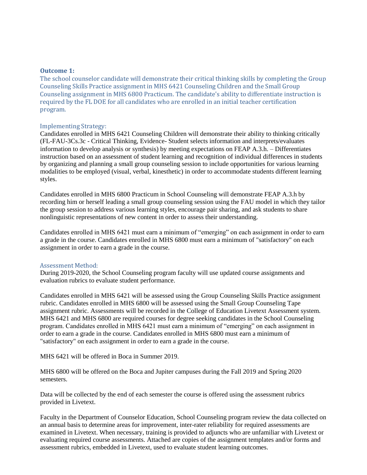### **Outcome 1:**

The school counselor candidate will demonstrate their critical thinking skills by completing the Group Counseling Skills Practice assignment in MHS 6421 Counseling Children and the Small Group Counseling assignment in MHS 6800 Practicum. The candidate's ability to differentiate instruction is required by the FL DOE for all candidates who are enrolled in an initial teacher certification program.

## Implementing Strategy:

Candidates enrolled in MHS 6421 Counseling Children will demonstrate their ability to thinking critically (FL-FAU-3Cs.3c - Critical Thinking, Evidence- Student selects information and interprets/evaluates information to develop analysis or synthesis) by meeting expectations on FEAP A.3.h. – Differentiates instruction based on an assessment of student learning and recognition of individual differences in students by organizing and planning a small group counseling session to include opportunities for various learning modalities to be employed (visual, verbal, kinesthetic) in order to accommodate students different learning styles.

Candidates enrolled in MHS 6800 Practicum in School Counseling will demonstrate FEAP A.3.h by recording him or herself leading a small group counseling session using the FAU model in which they tailor the group session to address various learning styles, encourage pair sharing, and ask students to share nonlinguistic representations of new content in order to assess their understanding.

Candidates enrolled in MHS 6421 must earn a minimum of "emerging" on each assignment in order to earn a grade in the course. Candidates enrolled in MHS 6800 must earn a minimum of "satisfactory" on each assignment in order to earn a grade in the course.

# Assessment Method:

During 2019-2020, the School Counseling program faculty will use updated course assignments and evaluation rubrics to evaluate student performance.

Candidates enrolled in MHS 6421 will be assessed using the Group Counseling Skills Practice assignment rubric. Candidates enrolled in MHS 6800 will be assessed using the Small Group Counseling Tape assignment rubric. Assessments will be recorded in the College of Education Livetext Assessment system. MHS 6421 and MHS 6800 are required courses for degree seeking candidates in the School Counseling program. Candidates enrolled in MHS 6421 must earn a minimum of "emerging" on each assignment in order to earn a grade in the course. Candidates enrolled in MHS 6800 must earn a minimum of "satisfactory" on each assignment in order to earn a grade in the course.

MHS 6421 will be offered in Boca in Summer 2019.

MHS 6800 will be offered on the Boca and Jupiter campuses during the Fall 2019 and Spring 2020 semesters.

Data will be collected by the end of each semester the course is offered using the assessment rubrics provided in Livetext.

Faculty in the Department of Counselor Education, School Counseling program review the data collected on an annual basis to determine areas for improvement, inter-rater reliability for required assessments are examined in Livetext. When necessary, training is provided to adjuncts who are unfamiliar with Livetext or evaluating required course assessments. Attached are copies of the assignment templates and/or forms and assessment rubrics, embedded in Livetext, used to evaluate student learning outcomes.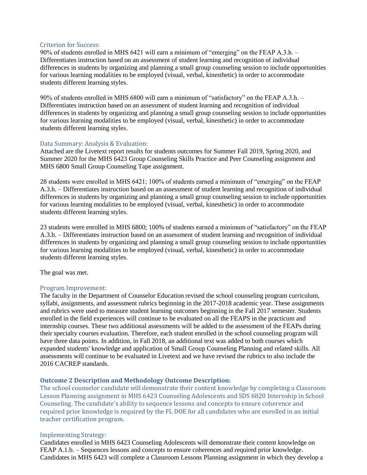# Criterion for Success:

90% of students enrolled in MHS 6421 will earn a minimum of "emerging" on the FEAP A.3.h. – Differentiates instruction based on an assessment of student learning and recognition of individual differences in students by organizing and planning a small group counseling session to include opportunities for various learning modalities to be employed (visual, verbal, kinesthetic) in order to accommodate students different learning styles.

90% of students enrolled in MHS 6800 will earn a minimum of "satisfactory" on the FEAP A.3.h. – Differentiates instruction based on an assessment of student learning and recognition of individual differences in students by organizing and planning a small group counseling session to include opportunities for various learning modalities to be employed (visual, verbal, kinesthetic) in order to accommodate students different learning styles.

## Data Summary: Analysis & Evaluation:

Attached are the Livetext report results for students outcomes for Summer Fall 2019, Spring 2020, and Summer 2020 for the MHS 6423 Group Counseling Skills Practice and Peer Counseling assignment and MHS 6800 Small Group Counseling Tape assignment.

28 students were enrolled in MHS 6421; 100% of students earned a minimum of "emerging" on the FEAP A.3.h. – Differentiates instruction based on an assessment of student learning and recognition of individual differences in students by organizing and planning a small group counseling session to include opportunities for various learning modalities to be employed (visual, verbal, kinesthetic) in order to accommodate students different learning styles.

23 students were enrolled in MHS 6800; 100% of students earned a minimum of "satisfactory" on the FEAP A.3.h. – Differentiates instruction based on an assessment of student learning and recognition of individual differences in students by organizing and planning a small group counseling session to include opportunities for various learning modalities to be employed (visual, verbal, kinesthetic) in order to accommodate students different learning styles.

The goal was met.

### Program Improvement:

The faculty in the Department of Counselor Education revised the school counseling program curriculum, syllabi, assignments, and assessment rubrics beginning in the 2017-2018 academic year. These assignments and rubrics were used to measure student learning outcomes beginning in the Fall 2017 semester. Students enrolled in the field experiences will continue to be evaluated on all the FEAPS in the practicum and internship courses. These two additional assessments will be added to the assessment of the FEAPs during their specialty courses evaluation. Therefore, each student enrolled in the school counseling program will have three data points. In addition, in Fall 2018, an additional text was added to both courses which expanded students' knowledge and application of Small Group Counseling Planning and related skills. All assessments will continue to be evaluated in Livetext and we have revised the rubrics to also include the 2016 CACREP standards.

# **Outcome 2 Description and Methodology Outcome Description:**

The school counselor candidate will demonstrate their content knowledge by completing a Classroom Lesson Planning assignment in MHS 6423 Counseling Adolescents and SDS 6820 Internship in School Counseling. The candidate's ability to sequence lessons and concepts to ensure coherence and required prior knowledge is required by the FL DOE for all candidates who are enrolled in an initial teacher certification program.

### Implementing Strategy:

Candidates enrolled in MHS 6423 Counseling Adolescents will demonstrate their content knowledge on FEAP A.1.b. – Sequences lessons and concepts to ensure coherences and required prior knowledge. Candidates in MHS 6423 will complete a Classroom Lessons Planning assignment in which they develop a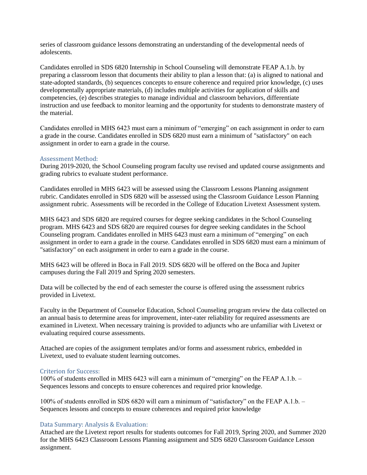series of classroom guidance lessons demonstrating an understanding of the developmental needs of adolescents.

Candidates enrolled in SDS 6820 Internship in School Counseling will demonstrate FEAP A.1.b. by preparing a classroom lesson that documents their ability to plan a lesson that: (a) is aligned to national and state-adopted standards, (b) sequences concepts to ensure coherence and required prior knowledge, (c) uses developmentally appropriate materials, (d) includes multiple activities for application of skills and competencies, (e) describes strategies to manage individual and classroom behaviors, differentiate instruction and use feedback to monitor learning and the opportunity for students to demonstrate mastery of the material.

Candidates enrolled in MHS 6423 must earn a minimum of "emerging" on each assignment in order to earn a grade in the course. Candidates enrolled in SDS 6820 must earn a minimum of "satisfactory" on each assignment in order to earn a grade in the course.

### Assessment Method:

During 2019-2020, the School Counseling program faculty use revised and updated course assignments and grading rubrics to evaluate student performance.

Candidates enrolled in MHS 6423 will be assessed using the Classroom Lessons Planning assignment rubric. Candidates enrolled in SDS 6820 will be assessed using the Classroom Guidance Lesson Planning assignment rubric. Assessments will be recorded in the College of Education Livetext Assessment system.

MHS 6423 and SDS 6820 are required courses for degree seeking candidates in the School Counseling program. MHS 6423 and SDS 6820 are required courses for degree seeking candidates in the School Counseling program. Candidates enrolled in MHS 6423 must earn a minimum of "emerging" on each assignment in order to earn a grade in the course. Candidates enrolled in SDS 6820 must earn a minimum of "satisfactory" on each assignment in order to earn a grade in the course.

MHS 6423 will be offered in Boca in Fall 2019. SDS 6820 will be offered on the Boca and Jupiter campuses during the Fall 2019 and Spring 2020 semesters.

Data will be collected by the end of each semester the course is offered using the assessment rubrics provided in Livetext.

Faculty in the Department of Counselor Education, School Counseling program review the data collected on an annual basis to determine areas for improvement, inter-rater reliability for required assessments are examined in Livetext. When necessary training is provided to adjuncts who are unfamiliar with Livetext or evaluating required course assessments.

Attached are copies of the assignment templates and/or forms and assessment rubrics, embedded in Livetext, used to evaluate student learning outcomes.

## Criterion for Success:

100% of students enrolled in MHS 6423 will earn a minimum of "emerging" on the FEAP A.1.b. – Sequences lessons and concepts to ensure coherences and required prior knowledge.

100% of students enrolled in SDS 6820 will earn a minimum of "satisfactory" on the FEAP A.1.b. – Sequences lessons and concepts to ensure coherences and required prior knowledge

### Data Summary: Analysis & Evaluation:

Attached are the Livetext report results for students outcomes for Fall 2019, Spring 2020, and Summer 2020 for the MHS 6423 Classroom Lessons Planning assignment and SDS 6820 Classroom Guidance Lesson assignment.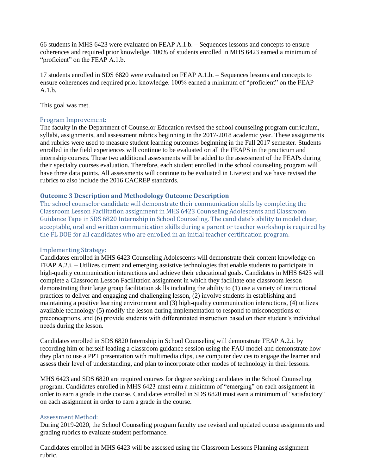66 students in MHS 6423 were evaluated on FEAP A.1.b. – Sequences lessons and concepts to ensure coherences and required prior knowledge. 100% of students enrolled in MHS 6423 earned a minimum of "proficient" on the FEAP A.1.b.

17 students enrolled in SDS 6820 were evaluated on FEAP A.1.b. – Sequences lessons and concepts to ensure coherences and required prior knowledge. 100% earned a minimum of "proficient" on the FEAP A.1.b.

This goal was met.

# Program Improvement:

The faculty in the Department of Counselor Education revised the school counseling program curriculum, syllabi, assignments, and assessment rubrics beginning in the 2017-2018 academic year. These assignments and rubrics were used to measure student learning outcomes beginning in the Fall 2017 semester. Students enrolled in the field experiences will continue to be evaluated on all the FEAPS in the practicum and internship courses. These two additional assessments will be added to the assessment of the FEAPs during their specialty courses evaluation. Therefore, each student enrolled in the school counseling program will have three data points. All assessments will continue to be evaluated in Livetext and we have revised the rubrics to also include the 2016 CACREP standards.

## **Outcome 3 Description and Methodology Outcome Description**

The school counselor candidate will demonstrate their communication skills by completing the Classroom Lesson Facilitation assignment in MHS 6423 Counseling Adolescents and Classroom Guidance Tape in SDS 6820 Internship in School Counseling. The candidate's ability to model clear, acceptable, oral and written communication skills during a parent or teacher workshop is required by the FL DOE for all candidates who are enrolled in an initial teacher certification program.

### Implementing Strategy:

Candidates enrolled in MHS 6423 Counseling Adolescents will demonstrate their content knowledge on FEAP A.2.i. – Utilizes current and emerging assistive technologies that enable students to participate in high-quality communication interactions and achieve their educational goals. Candidates in MHS 6423 will complete a Classroom Lesson Facilitation assignment in which they facilitate one classroom lesson demonstrating their large group facilitation skills including the ability to (1) use a variety of instructional practices to deliver and engaging and challenging lesson, (2) involve students in establishing and maintaining a positive learning environment and (3) high-quality communication interactions, (4) utilizes available technology (5) modify the lesson during implementation to respond to misconceptions or preconceptions, and (6) provide students with differentiated instruction based on their student's individual needs during the lesson.

Candidates enrolled in SDS 6820 Internship in School Counseling will demonstrate FEAP A.2.i. by recording him or herself leading a classroom guidance session using the FAU model and demonstrate how they plan to use a PPT presentation with multimedia clips, use computer devices to engage the learner and assess their level of understanding, and plan to incorporate other modes of technology in their lessons.

MHS 6423 and SDS 6820 are required courses for degree seeking candidates in the School Counseling program. Candidates enrolled in MHS 6423 must earn a minimum of "emerging" on each assignment in order to earn a grade in the course. Candidates enrolled in SDS 6820 must earn a minimum of "satisfactory" on each assignment in order to earn a grade in the course.

### Assessment Method:

During 2019-2020, the School Counseling program faculty use revised and updated course assignments and grading rubrics to evaluate student performance.

Candidates enrolled in MHS 6423 will be assessed using the Classroom Lessons Planning assignment rubric.